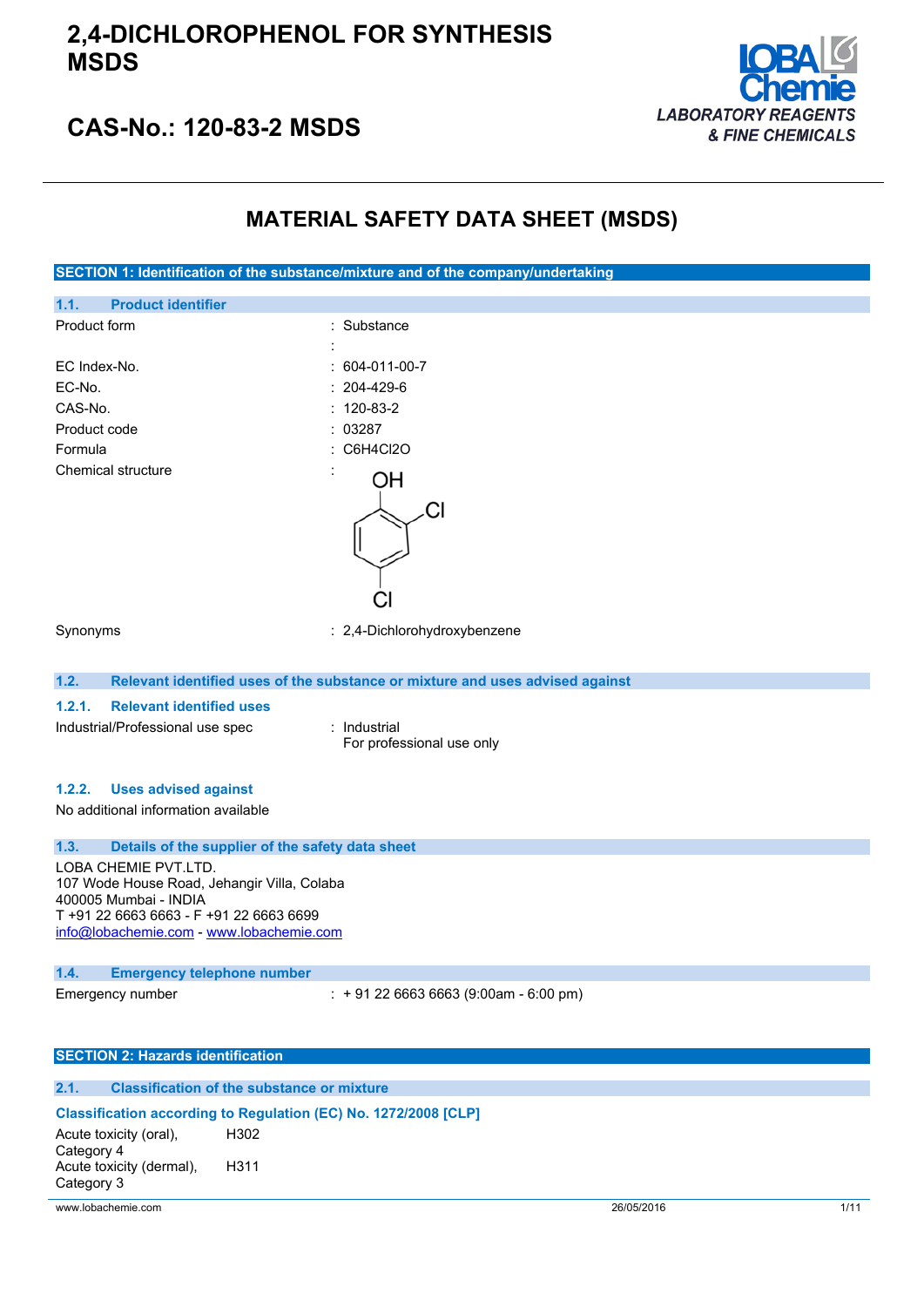

# **CAS-No.: 120-83-2 MSDS**

## **MATERIAL SAFETY DATA SHEET (MSDS)**

**SECTION 1: Identification of the substance/mixture and of the company/undertaking 1.1. Product identifier** Product form : Substance : Substance : EC Index-No. : 604-011-00-7 EC-No. : 204-429-6 CAS-No. : 120-83-2 Product code : 03287 Formula : C6H4Cl2O Chemical structure ΟH Сl Synonyms : 2,4-Dichlorohydroxybenzene **1.2. Relevant identified uses of the substance or mixture and uses advised against 1.2.1. Relevant identified uses** Industrial/Professional use spec : Industrial For professional use only

### **1.2.2. Uses advised against**

No additional information available

### **1.3. Details of the supplier of the safety data sheet**

LOBA CHEMIE PVT.LTD. 107 Wode House Road, Jehangir Villa, Colaba 400005 Mumbai - INDIA T +91 22 6663 6663 - F +91 22 6663 6699 [info@lobachemie.com](mailto:info@lobachemie.com) - <www.lobachemie.com>

#### **1.4. Emergency telephone number**

Emergency number : + 91 22 6663 6663 (9:00am - 6:00 pm)

#### **SECTION 2: Hazards identification**

### **2.1. Classification of the substance or mixture**

### **Classification according to Regulation (EC) No. 1272/2008 [CLP]**

Acute toxicity (oral), Category 4 H302 Acute toxicity (dermal), Category 3 H311

www.lobachemie.com 26/05/2016 1/11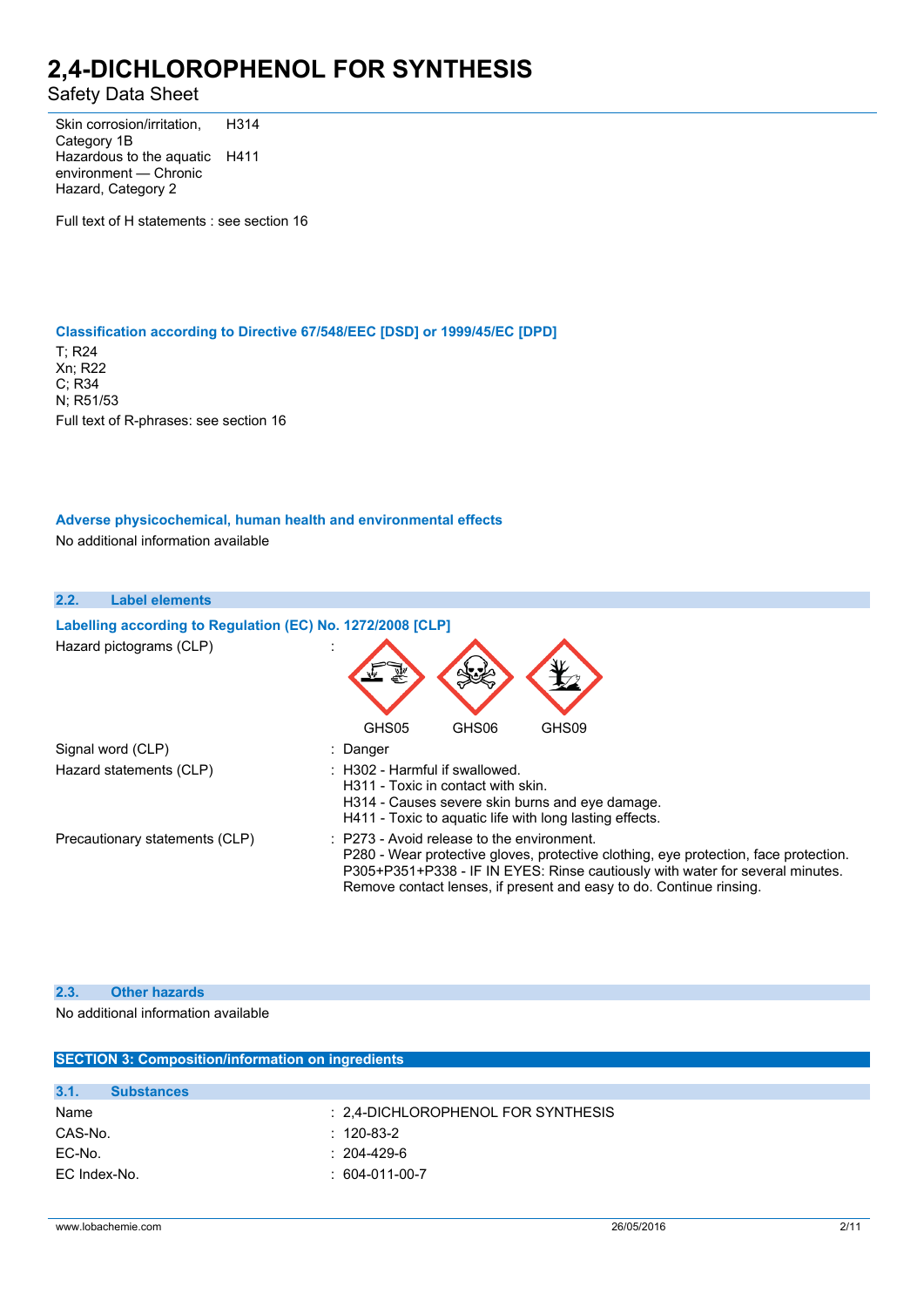## Safety Data Sheet

Skin corrosion/irritation, Category 1B H314 Hazardous to the aquatic H411 environment — Chronic Hazard, Category 2

Full text of H statements : see section 16

### **Classification according to Directive 67/548/EEC [DSD] or 1999/45/EC [DPD]**

T; R24 Xn; R22 C; R34 N; R51/53 Full text of R-phrases: see section 16

## **Adverse physicochemical, human health and environmental effects**

No additional information available

| 2.2.<br><b>Label elements</b>                              |                                                                                                                                                                                                                                                                                                       |
|------------------------------------------------------------|-------------------------------------------------------------------------------------------------------------------------------------------------------------------------------------------------------------------------------------------------------------------------------------------------------|
| Labelling according to Regulation (EC) No. 1272/2008 [CLP] |                                                                                                                                                                                                                                                                                                       |
| Hazard pictograms (CLP)                                    |                                                                                                                                                                                                                                                                                                       |
|                                                            | GHS05<br>GHS06<br>GHS09                                                                                                                                                                                                                                                                               |
| Signal word (CLP)                                          | : Danger                                                                                                                                                                                                                                                                                              |
| Hazard statements (CLP)                                    | $\therefore$ H302 - Harmful if swallowed.<br>H311 - Toxic in contact with skin.<br>H314 - Causes severe skin burns and eye damage.<br>H411 - Toxic to aquatic life with long lasting effects.                                                                                                         |
| Precautionary statements (CLP)                             | $\therefore$ P273 - Avoid release to the environment.<br>P280 - Wear protective gloves, protective clothing, eye protection, face protection.<br>P305+P351+P338 - IF IN EYES: Rinse cautiously with water for several minutes.<br>Remove contact lenses, if present and easy to do. Continue rinsing. |

#### **2.3. Other hazards**

No additional information available

|                           | <b>SECTION 3: Composition/information on ingredients</b> |  |  |
|---------------------------|----------------------------------------------------------|--|--|
|                           |                                                          |  |  |
| 3.1.<br><b>Substances</b> |                                                          |  |  |
| Name                      | : 2.4-DICHLOROPHENOL FOR SYNTHESIS                       |  |  |
| CAS-No.                   | $: 120-83-2$                                             |  |  |
| EC-No.                    | $: 204 - 429 - 6$                                        |  |  |
| EC Index-No.              | $: 604-011-00-7$                                         |  |  |
|                           |                                                          |  |  |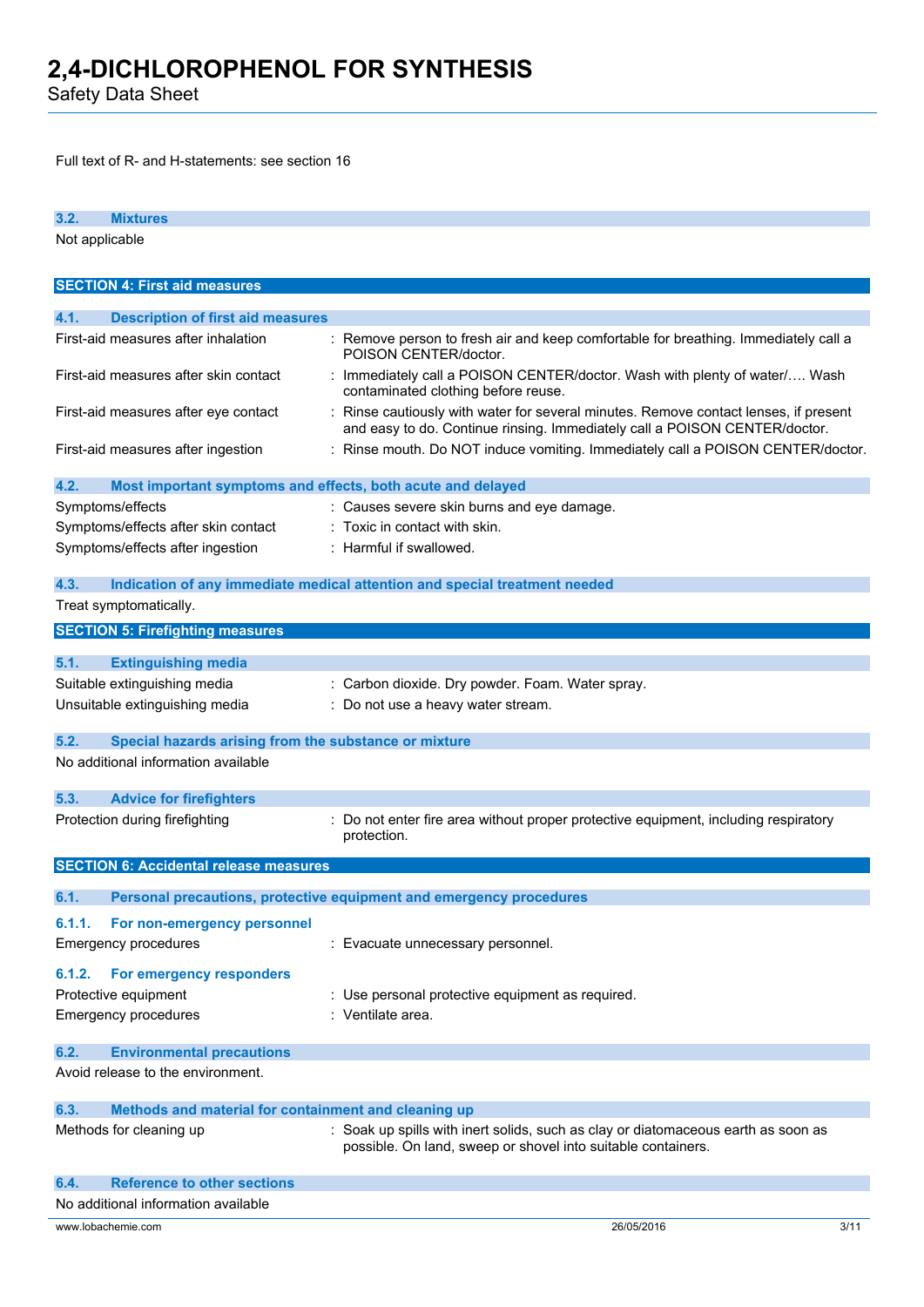Safety Data Sheet

Full text of R- and H-statements: see section 16

| 3.2.<br><b>Mixtures</b>                                             |                                                                                                                                                                    |      |
|---------------------------------------------------------------------|--------------------------------------------------------------------------------------------------------------------------------------------------------------------|------|
| Not applicable                                                      |                                                                                                                                                                    |      |
|                                                                     |                                                                                                                                                                    |      |
| <b>SECTION 4: First aid measures</b>                                |                                                                                                                                                                    |      |
|                                                                     |                                                                                                                                                                    |      |
| <b>Description of first aid measures</b><br>4.1.                    |                                                                                                                                                                    |      |
| First-aid measures after inhalation                                 | : Remove person to fresh air and keep comfortable for breathing. Immediately call a<br>POISON CENTER/doctor.                                                       |      |
| First-aid measures after skin contact                               | : Immediately call a POISON CENTER/doctor. Wash with plenty of water/ Wash<br>contaminated clothing before reuse.                                                  |      |
| First-aid measures after eye contact                                | : Rinse cautiously with water for several minutes. Remove contact lenses, if present<br>and easy to do. Continue rinsing. Immediately call a POISON CENTER/doctor. |      |
| First-aid measures after ingestion                                  | : Rinse mouth. Do NOT induce vomiting. Immediately call a POISON CENTER/doctor.                                                                                    |      |
| 4.2.<br>Most important symptoms and effects, both acute and delayed |                                                                                                                                                                    |      |
| Symptoms/effects                                                    | : Causes severe skin burns and eye damage.                                                                                                                         |      |
| Symptoms/effects after skin contact                                 | $:$ Toxic in contact with skin.                                                                                                                                    |      |
| Symptoms/effects after ingestion                                    | : Harmful if swallowed.                                                                                                                                            |      |
|                                                                     |                                                                                                                                                                    |      |
| 4.3.                                                                | Indication of any immediate medical attention and special treatment needed                                                                                         |      |
| Treat symptomatically.                                              |                                                                                                                                                                    |      |
| <b>SECTION 5: Firefighting measures</b>                             |                                                                                                                                                                    |      |
|                                                                     |                                                                                                                                                                    |      |
| 5.1.<br><b>Extinguishing media</b>                                  |                                                                                                                                                                    |      |
| Suitable extinguishing media                                        | : Carbon dioxide. Dry powder. Foam. Water spray.                                                                                                                   |      |
| Unsuitable extinguishing media                                      | : Do not use a heavy water stream.                                                                                                                                 |      |
|                                                                     |                                                                                                                                                                    |      |
| 5.2.<br>Special hazards arising from the substance or mixture       |                                                                                                                                                                    |      |
| No additional information available                                 |                                                                                                                                                                    |      |
| 5.3.<br><b>Advice for firefighters</b>                              |                                                                                                                                                                    |      |
| Protection during firefighting                                      | : Do not enter fire area without proper protective equipment, including respiratory                                                                                |      |
|                                                                     | protection.                                                                                                                                                        |      |
| <b>SECTION 6: Accidental release measures</b>                       |                                                                                                                                                                    |      |
|                                                                     |                                                                                                                                                                    |      |
| 6.1.                                                                | Personal precautions, protective equipment and emergency procedures                                                                                                |      |
| 6.1.1.<br>For non-emergency personnel                               |                                                                                                                                                                    |      |
| Emergency procedures                                                | : Evacuate unnecessary personnel.                                                                                                                                  |      |
| For emergency responders<br>6.1.2.                                  |                                                                                                                                                                    |      |
| Protective equipment                                                | : Use personal protective equipment as required.                                                                                                                   |      |
| <b>Emergency procedures</b>                                         | : Ventilate area.                                                                                                                                                  |      |
|                                                                     |                                                                                                                                                                    |      |
| 6.2.<br><b>Environmental precautions</b>                            |                                                                                                                                                                    |      |
| Avoid release to the environment.                                   |                                                                                                                                                                    |      |
|                                                                     |                                                                                                                                                                    |      |
| 6.3.<br>Methods and material for containment and cleaning up        |                                                                                                                                                                    |      |
| Methods for cleaning up                                             | : Soak up spills with inert solids, such as clay or diatomaceous earth as soon as<br>possible. On land, sweep or shovel into suitable containers.                  |      |
| 6.4.<br><b>Reference to other sections</b>                          |                                                                                                                                                                    |      |
| No additional information available                                 |                                                                                                                                                                    |      |
| www.lobachemie.com                                                  | 26/05/2016                                                                                                                                                         | 3/11 |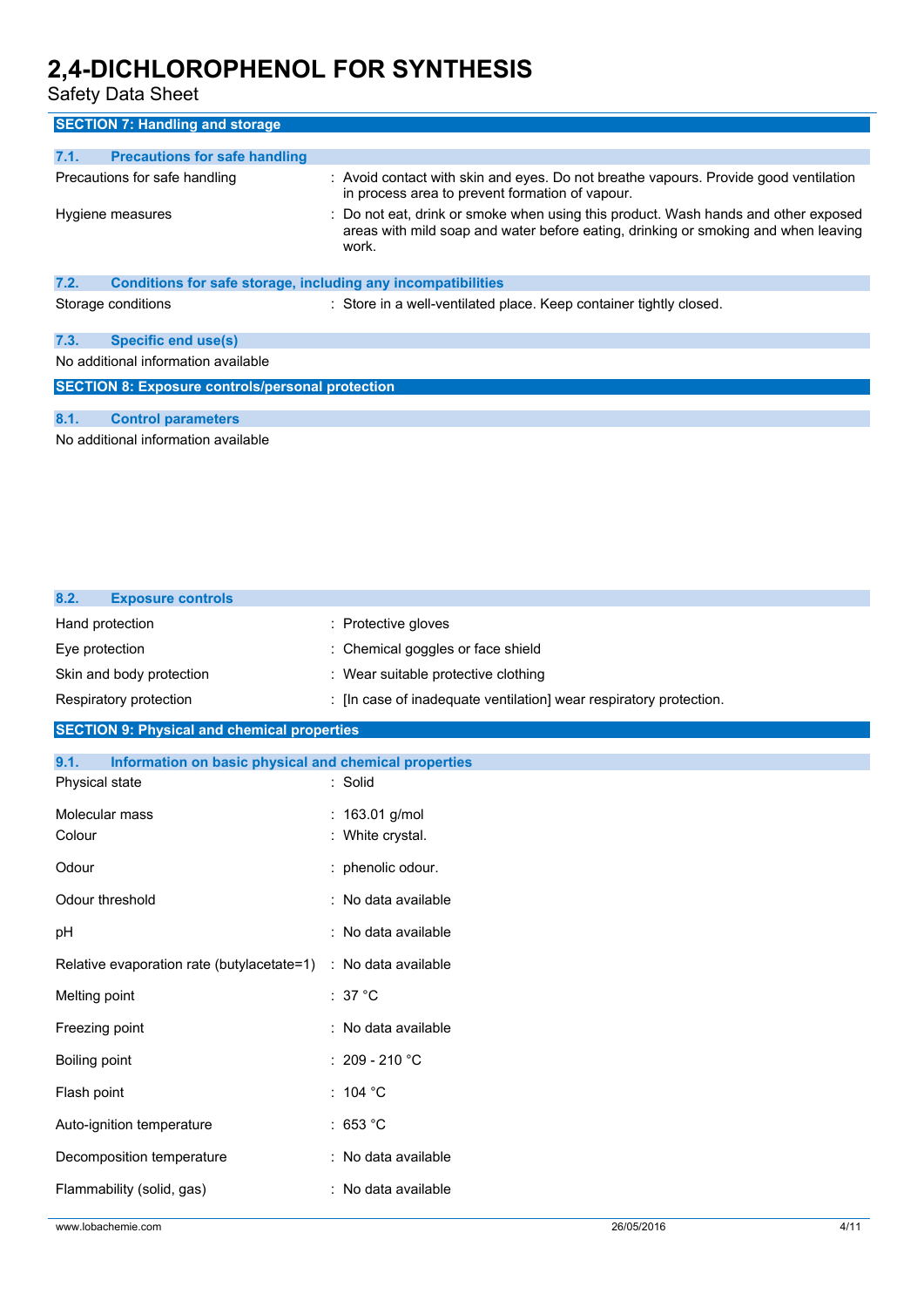Safety Data Sheet

| <b>SECTION 7: Handling and storage</b>                               |                                                                                                                                                                                   |
|----------------------------------------------------------------------|-----------------------------------------------------------------------------------------------------------------------------------------------------------------------------------|
|                                                                      |                                                                                                                                                                                   |
| <b>Precautions for safe handling</b><br>7.1.                         |                                                                                                                                                                                   |
| Precautions for safe handling                                        | : Avoid contact with skin and eyes. Do not breathe vapours. Provide good ventilation<br>in process area to prevent formation of vapour.                                           |
| Hygiene measures                                                     | : Do not eat, drink or smoke when using this product. Wash hands and other exposed<br>areas with mild soap and water before eating, drinking or smoking and when leaving<br>work. |
| Conditions for safe storage, including any incompatibilities<br>7.2. |                                                                                                                                                                                   |
| Storage conditions                                                   | : Store in a well-ventilated place. Keep container tightly closed.                                                                                                                |
| 7.3.<br>Specific end use(s)                                          |                                                                                                                                                                                   |
| No additional information available                                  |                                                                                                                                                                                   |
| <b>SECTION 8: Exposure controls/personal protection</b>              |                                                                                                                                                                                   |
|                                                                      |                                                                                                                                                                                   |
| 8.1.<br><b>Control parameters</b>                                    |                                                                                                                                                                                   |
| No additional information available                                  |                                                                                                                                                                                   |

| <b>Exposure controls</b><br>8.2.                              |                                                                    |
|---------------------------------------------------------------|--------------------------------------------------------------------|
| Hand protection                                               | Protective gloves                                                  |
| Eye protection                                                | Chemical goggles or face shield                                    |
| Skin and body protection                                      | : Wear suitable protective clothing                                |
| Respiratory protection                                        | : [In case of inadequate ventilation] wear respiratory protection. |
| <b>SECTION 9: Physical and chemical properties</b>            |                                                                    |
| 9.1.<br>Information on basic physical and chemical properties |                                                                    |
| Physical state                                                | : Solid                                                            |
| Molecular mass                                                | : 163.01 g/mol                                                     |
| Colour                                                        | White crystal.                                                     |
| Odour                                                         | : phenolic odour.                                                  |
| Odour threshold                                               | No data available                                                  |
| pH                                                            | : No data available                                                |
| Relative evaporation rate (butylacetate=1)                    | : No data available                                                |
| Melting point                                                 | : $37^{\circ}$ C                                                   |
| Freezing point                                                | No data available                                                  |
| Boiling point                                                 | 209 - 210 °C                                                       |
| Flash point                                                   | : 104 $^{\circ}$ C                                                 |
| Auto-ignition temperature                                     | :653 °C                                                            |
| Decomposition temperature                                     | : No data available                                                |
| Flammability (solid, gas)                                     | No data available                                                  |
| www.lobachemie.com                                            | 26/05/2016<br>4/11                                                 |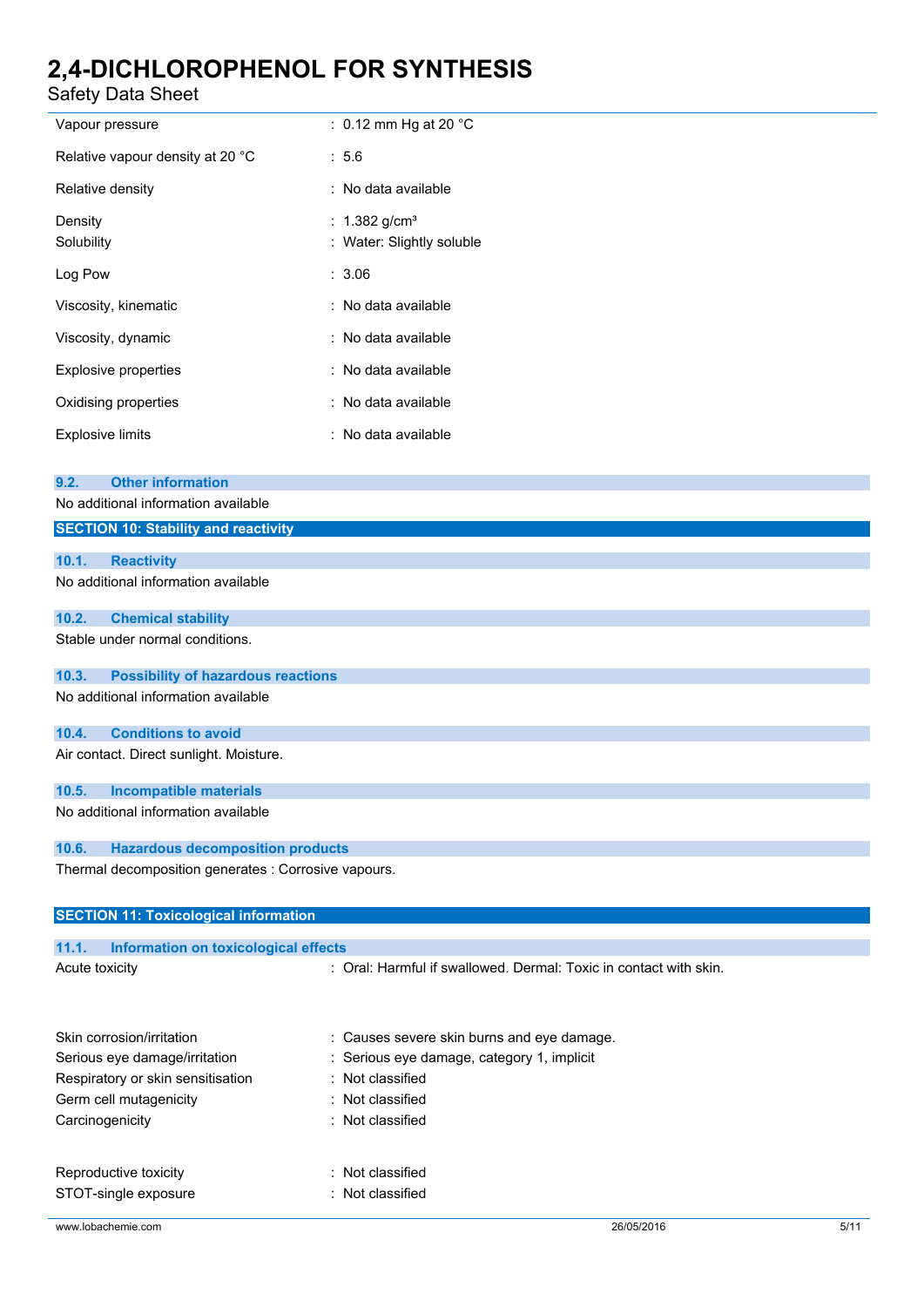Safety Data Sheet

| Safety Data Sheet                                                                                                      |                                                                                                            |
|------------------------------------------------------------------------------------------------------------------------|------------------------------------------------------------------------------------------------------------|
| Vapour pressure                                                                                                        | : 0.12 mm Hg at 20 $^{\circ}$ C                                                                            |
| Relative vapour density at 20 °C                                                                                       | : 5.6                                                                                                      |
| Relative density                                                                                                       | : No data available                                                                                        |
| Density<br>Solubility                                                                                                  | : $1.382$ g/cm <sup>3</sup><br>: Water: Slightly soluble                                                   |
| Log Pow                                                                                                                | : 3.06                                                                                                     |
| Viscosity, kinematic                                                                                                   | : No data available                                                                                        |
| Viscosity, dynamic                                                                                                     | : No data available                                                                                        |
| <b>Explosive properties</b>                                                                                            | : No data available                                                                                        |
| Oxidising properties                                                                                                   | : No data available                                                                                        |
| <b>Explosive limits</b>                                                                                                | : No data available                                                                                        |
| <b>Other information</b><br>9.2.<br>No additional information available<br><b>SECTION 10: Stability and reactivity</b> |                                                                                                            |
| 10.1.<br><b>Reactivity</b>                                                                                             |                                                                                                            |
| No additional information available                                                                                    |                                                                                                            |
| 10.2.<br><b>Chemical stability</b>                                                                                     |                                                                                                            |
| Stable under normal conditions.                                                                                        |                                                                                                            |
| 10.3.<br><b>Possibility of hazardous reactions</b>                                                                     |                                                                                                            |
| No additional information available                                                                                    |                                                                                                            |
| <b>Conditions to avoid</b><br>10.4.                                                                                    |                                                                                                            |
| Air contact. Direct sunlight. Moisture.                                                                                |                                                                                                            |
| <b>Incompatible materials</b><br>10.5.                                                                                 |                                                                                                            |
| No additional information available                                                                                    |                                                                                                            |
| 10.6.<br><b>Hazardous decomposition products</b>                                                                       |                                                                                                            |
| Thermal decomposition generates : Corrosive vapours.                                                                   |                                                                                                            |
| <b>SECTION 11: Toxicological information</b>                                                                           |                                                                                                            |
| 11.1.<br>Information on toxicological effects                                                                          |                                                                                                            |
| Acute toxicity                                                                                                         | : Oral: Harmful if swallowed. Dermal: Toxic in contact with skin.                                          |
| Skin corrosion/irritation<br>Serious eye damage/irritation<br>Respiratory or skin sensitisation                        | : Causes severe skin burns and eye damage.<br>Serious eye damage, category 1, implicit<br>: Not classified |

| Reproductive toxicity | : Not classified |
|-----------------------|------------------|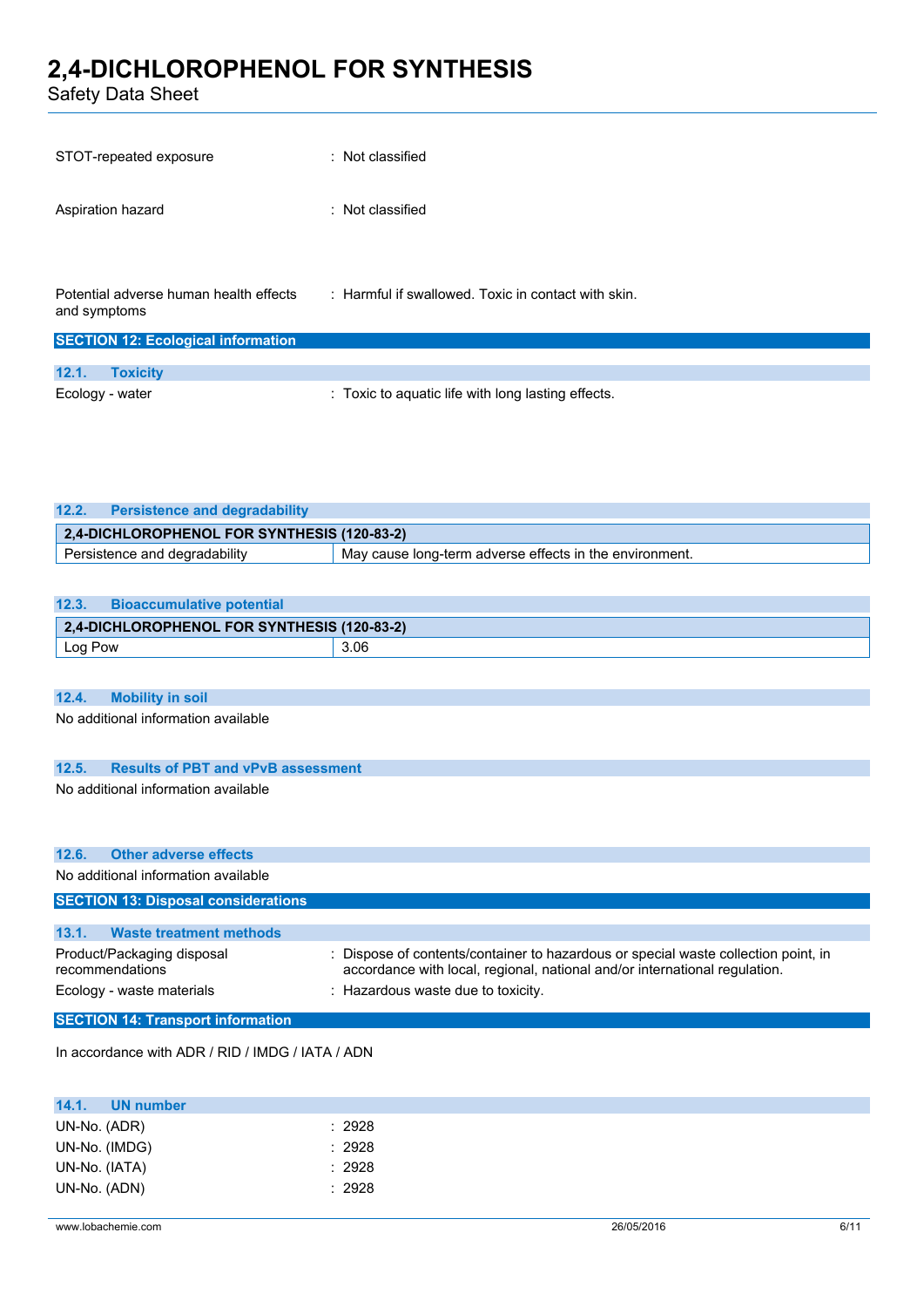Safety Data Sheet

| STOT-repeated exposure                                 | : Not classified                                    |
|--------------------------------------------------------|-----------------------------------------------------|
| Aspiration hazard                                      | : Not classified                                    |
|                                                        |                                                     |
| Potential adverse human health effects<br>and symptoms | : Harmful if swallowed. Toxic in contact with skin. |
| <b>SECTION 12: Ecological information</b>              |                                                     |
| 12.1.<br><b>Toxicity</b>                               |                                                     |
| Ecology - water                                        | : Toxic to aquatic life with long lasting effects.  |

| 12.2.<br><b>Persistence and degradability</b> |                                                         |
|-----------------------------------------------|---------------------------------------------------------|
| 2,4-DICHLOROPHENOL FOR SYNTHESIS (120-83-2)   |                                                         |
| Persistence and degradability                 | May cause long-term adverse effects in the environment. |

| 12.3.   | <b>Bioaccumulative potential</b>            |      |
|---------|---------------------------------------------|------|
|         | 2,4-DICHLOROPHENOL FOR SYNTHESIS (120-83-2) |      |
| Log Pow |                                             | 3.06 |

## **12.4. Mobility in soil**

No additional information available

### **12.5. Results of PBT and vPvB assessment**

No additional information available

|                 | 12.6. Other adverse effects                |                                                                                                                                                                  |
|-----------------|--------------------------------------------|------------------------------------------------------------------------------------------------------------------------------------------------------------------|
|                 | No additional information available        |                                                                                                                                                                  |
|                 | <b>SECTION 13: Disposal considerations</b> |                                                                                                                                                                  |
|                 |                                            |                                                                                                                                                                  |
| 13.1.           | <b>Waste treatment methods</b>             |                                                                                                                                                                  |
| recommendations | Product/Packaging disposal                 | : Dispose of contents/container to hazardous or special waste collection point, in<br>accordance with local, regional, national and/or international regulation. |
|                 | Ecology - waste materials                  | : Hazardous waste due to toxicity.                                                                                                                               |
|                 | <b>SECTION 14: Transport information</b>   |                                                                                                                                                                  |

In accordance with ADR / RID / IMDG / IATA / ADN

| 14.1.         | UN number |        |
|---------------|-----------|--------|
| UN-No. (ADR)  |           | : 2928 |
| UN-No. (IMDG) |           | : 2928 |
| UN-No. (IATA) |           | : 2928 |
| UN-No. (ADN)  |           | : 2928 |
|               |           |        |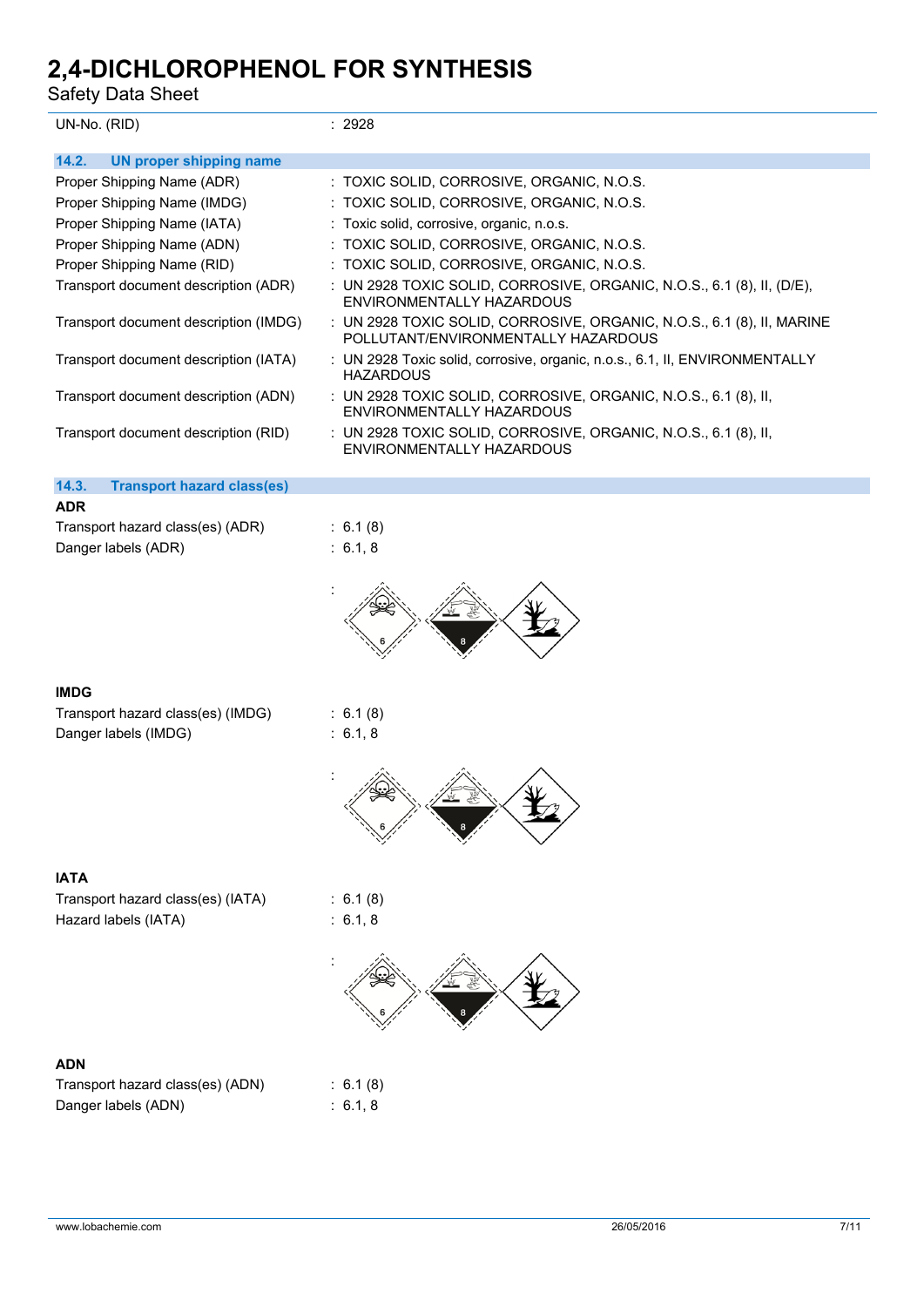| Safety Data Sheet                                         |                                                                                                               |  |  |
|-----------------------------------------------------------|---------------------------------------------------------------------------------------------------------------|--|--|
| UN-No. (RID)                                              | : 2928                                                                                                        |  |  |
| 14.2.<br><b>UN proper shipping name</b>                   |                                                                                                               |  |  |
| Proper Shipping Name (ADR)                                | : TOXIC SOLID, CORROSIVE, ORGANIC, N.O.S.                                                                     |  |  |
| Proper Shipping Name (IMDG)                               | : TOXIC SOLID, CORROSIVE, ORGANIC, N.O.S.                                                                     |  |  |
| Proper Shipping Name (IATA)                               | : Toxic solid, corrosive, organic, n.o.s.                                                                     |  |  |
| Proper Shipping Name (ADN)                                | : TOXIC SOLID, CORROSIVE, ORGANIC, N.O.S.                                                                     |  |  |
| Proper Shipping Name (RID)                                | : TOXIC SOLID, CORROSIVE, ORGANIC, N.O.S.                                                                     |  |  |
| Transport document description (ADR)                      | : UN 2928 TOXIC SOLID, CORROSIVE, ORGANIC, N.O.S., 6.1 (8), II, (D/E),<br>ENVIRONMENTALLY HAZARDOUS           |  |  |
| Transport document description (IMDG)                     | : UN 2928 TOXIC SOLID, CORROSIVE, ORGANIC, N.O.S., 6.1 (8), II, MARINE<br>POLLUTANT/ENVIRONMENTALLY HAZARDOUS |  |  |
| Transport document description (IATA)                     | : UN 2928 Toxic solid, corrosive, organic, n.o.s., 6.1, II, ENVIRONMENTALLY<br><b>HAZARDOUS</b>               |  |  |
| Transport document description (ADN)                      | : UN 2928 TOXIC SOLID, CORROSIVE, ORGANIC, N.O.S., 6.1 (8), II,<br>ENVIRONMENTALLY HAZARDOUS                  |  |  |
| Transport document description (RID)                      | : UN 2928 TOXIC SOLID, CORROSIVE, ORGANIC, N.O.S., 6.1 (8), II,<br>ENVIRONMENTALLY HAZARDOUS                  |  |  |
| 14.3.<br><b>Transport hazard class(es)</b>                |                                                                                                               |  |  |
| <b>ADR</b>                                                |                                                                                                               |  |  |
| Transport hazard class(es) (ADR)<br>Danger labels (ADR)   | : 6.1(8)<br>: 6.1, 8                                                                                          |  |  |
|                                                           |                                                                                                               |  |  |
| <b>IMDG</b>                                               |                                                                                                               |  |  |
| Transport hazard class(es) (IMDG)                         | : 6.1(8)<br>: 6.1, 8                                                                                          |  |  |
| Danger labels (IMDG)                                      |                                                                                                               |  |  |
|                                                           | 公                                                                                                             |  |  |
| <b>IATA</b>                                               |                                                                                                               |  |  |
| Transport hazard class(es) (IATA)<br>Hazard labels (IATA) | : 6.1(8)<br>: 6.1, 8                                                                                          |  |  |
|                                                           |                                                                                                               |  |  |

## **ADN**

| Transport hazard class(es) (ADN) |  |
|----------------------------------|--|
| Danger labels (ADN)              |  |

 $6.1 (8)$  $6.1, 8$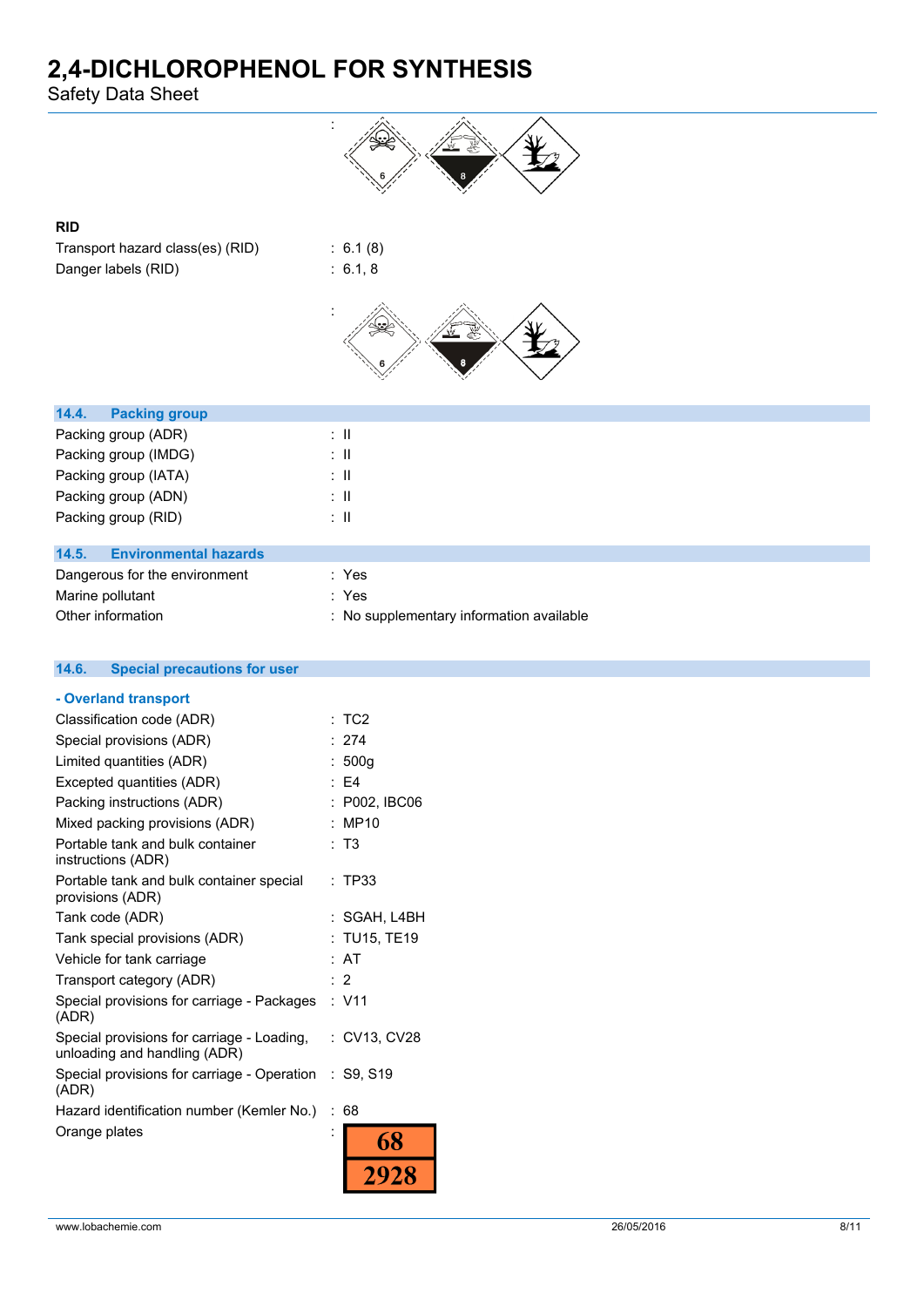Safety Data Sheet



### **RID**

Transport hazard class(es) (RID) : 6.1 (8) Danger labels (RID) : 6.1, 8



| 14.4. | <b>Packing group</b>          |       |
|-------|-------------------------------|-------|
|       | Packing group (ADR)           | ÷Ш    |
|       | Packing group (IMDG)          | ÷Ш    |
|       | Packing group (IATA)          | ÷Ш    |
|       | Packing group (ADN)           | ÷Ш    |
|       | Packing group (RID)           | ÷Ш    |
|       |                               |       |
| 14.5. | <b>Environmental hazards</b>  |       |
|       | Dangerous for the environment | : Yes |
|       | Marine pollutant              | : Yes |

| manno ponutunt    | .                                        |
|-------------------|------------------------------------------|
| Other information | : No supplementary information available |

| <b>Special precautions for user</b><br>14.6.                               |   |                 |
|----------------------------------------------------------------------------|---|-----------------|
| - Overland transport                                                       |   |                 |
| Classification code (ADR)                                                  |   | TC <sub>2</sub> |
| Special provisions (ADR)                                                   |   | 274             |
| Limited quantities (ADR)                                                   |   | 500q            |
| Excepted quantities (ADR)                                                  |   | $E = 54$        |
| Packing instructions (ADR)                                                 |   | P002, IBC06     |
| Mixed packing provisions (ADR)                                             |   | <b>MP10</b>     |
| Portable tank and bulk container<br>instructions (ADR)                     |   | T <sub>3</sub>  |
| Portable tank and bulk container special<br>provisions (ADR)               |   | : TP33          |
| Tank code (ADR)                                                            |   | : SGAH, L4BH    |
| Tank special provisions (ADR)                                              |   | TU15, TE19      |
| Vehicle for tank carriage                                                  |   | AT              |
| Transport category (ADR)                                                   |   | : 2             |
| Special provisions for carriage - Packages<br>(ADR)                        |   | : V11           |
| Special provisions for carriage - Loading,<br>unloading and handling (ADR) |   | : CV13, CV28    |
| Special provisions for carriage - Operation<br>(ADR)                       |   | : S9, S19       |
| Hazard identification number (Kemler No.)                                  | ÷ | 68              |
| Orange plates                                                              |   | 68              |
|                                                                            |   | 2928            |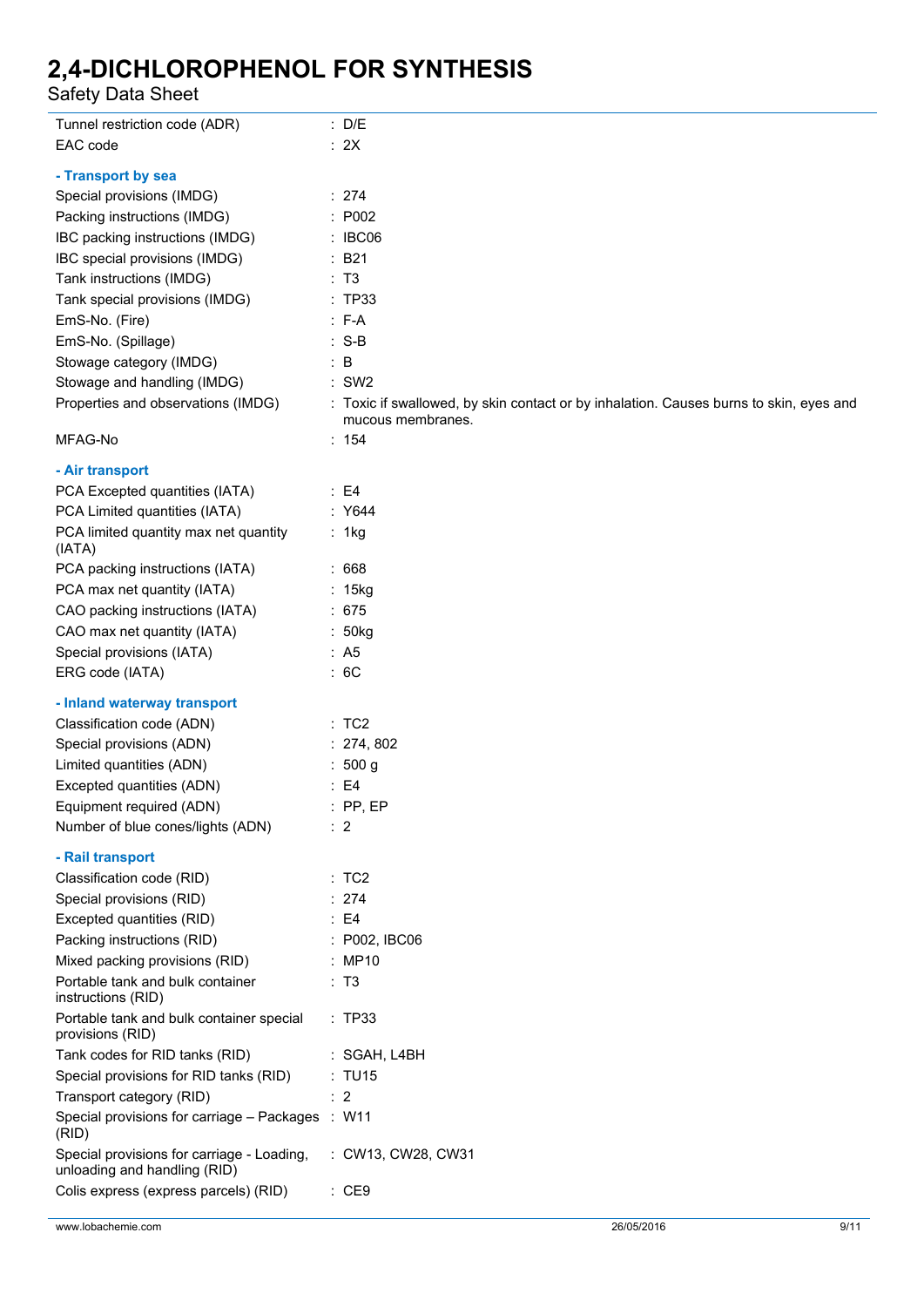Safety Data Sheet

| Tunnel restriction code (ADR)                                              | : D/E                                                                                  |
|----------------------------------------------------------------------------|----------------------------------------------------------------------------------------|
| EAC code                                                                   | : 2X                                                                                   |
| - Transport by sea                                                         |                                                                                        |
| Special provisions (IMDG)                                                  | : 274                                                                                  |
| Packing instructions (IMDG)                                                | : P002                                                                                 |
| IBC packing instructions (IMDG)                                            | $\therefore$ IBC06                                                                     |
| IBC special provisions (IMDG)                                              | $\therefore$ B21                                                                       |
| Tank instructions (IMDG)                                                   | : T3                                                                                   |
| Tank special provisions (IMDG)                                             | : TP33                                                                                 |
| EmS-No. (Fire)                                                             | $: F-A$                                                                                |
| EmS-No. (Spillage)                                                         | $: S-B$                                                                                |
| Stowage category (IMDG)                                                    | $\therefore$ B                                                                         |
| Stowage and handling (IMDG)                                                | $:$ SW2                                                                                |
| Properties and observations (IMDG)                                         | : Toxic if swallowed, by skin contact or by inhalation. Causes burns to skin, eyes and |
|                                                                            | mucous membranes.                                                                      |
| MFAG-No                                                                    | : 154                                                                                  |
| - Air transport                                                            |                                                                                        |
| PCA Excepted quantities (IATA)                                             | $\therefore$ E4                                                                        |
| PCA Limited quantities (IATA)                                              | : Y644                                                                                 |
| PCA limited quantity max net quantity<br>(IATA)                            | : 1kg                                                                                  |
| PCA packing instructions (IATA)                                            | :668                                                                                   |
| PCA max net quantity (IATA)                                                | : 15kg                                                                                 |
| CAO packing instructions (IATA)                                            | :675                                                                                   |
| CAO max net quantity (IATA)                                                | : 50kg                                                                                 |
| Special provisions (IATA)                                                  | : A5                                                                                   |
| ERG code (IATA)                                                            | :6C                                                                                    |
|                                                                            |                                                                                        |
| - Inland waterway transport                                                |                                                                                        |
| Classification code (ADN)<br>Special provisions (ADN)                      | :TC2<br>: 274, 802                                                                     |
| Limited quantities (ADN)                                                   | : 500 g                                                                                |
|                                                                            | $\therefore$ E4                                                                        |
| Excepted quantities (ADN)                                                  | $:$ PP, EP                                                                             |
| Equipment required (ADN)<br>Number of blue cones/lights (ADN)              |                                                                                        |
|                                                                            | $\therefore$ 2                                                                         |
| - Rail transport                                                           |                                                                                        |
| Classification code (RID)                                                  | :TC2                                                                                   |
| Special provisions (RID)                                                   | : 274                                                                                  |
| Excepted quantities (RID)                                                  | $\therefore$ E4                                                                        |
| Packing instructions (RID)                                                 | : P002, IBC06                                                                          |
| Mixed packing provisions (RID)                                             | : MP10                                                                                 |
| Portable tank and bulk container<br>instructions (RID)                     | : T3                                                                                   |
| Portable tank and bulk container special<br>provisions (RID)               | : TP33                                                                                 |
| Tank codes for RID tanks (RID)                                             | : SGAH, L4BH                                                                           |
| Special provisions for RID tanks (RID)                                     | : TU15                                                                                 |
| Transport category (RID)                                                   | $\therefore$ 2                                                                         |
| Special provisions for carriage - Packages : W11<br>(RID)                  |                                                                                        |
| Special provisions for carriage - Loading,<br>unloading and handling (RID) | : CW13, CW28, CW31                                                                     |
| Colis express (express parcels) (RID)                                      | : CE9                                                                                  |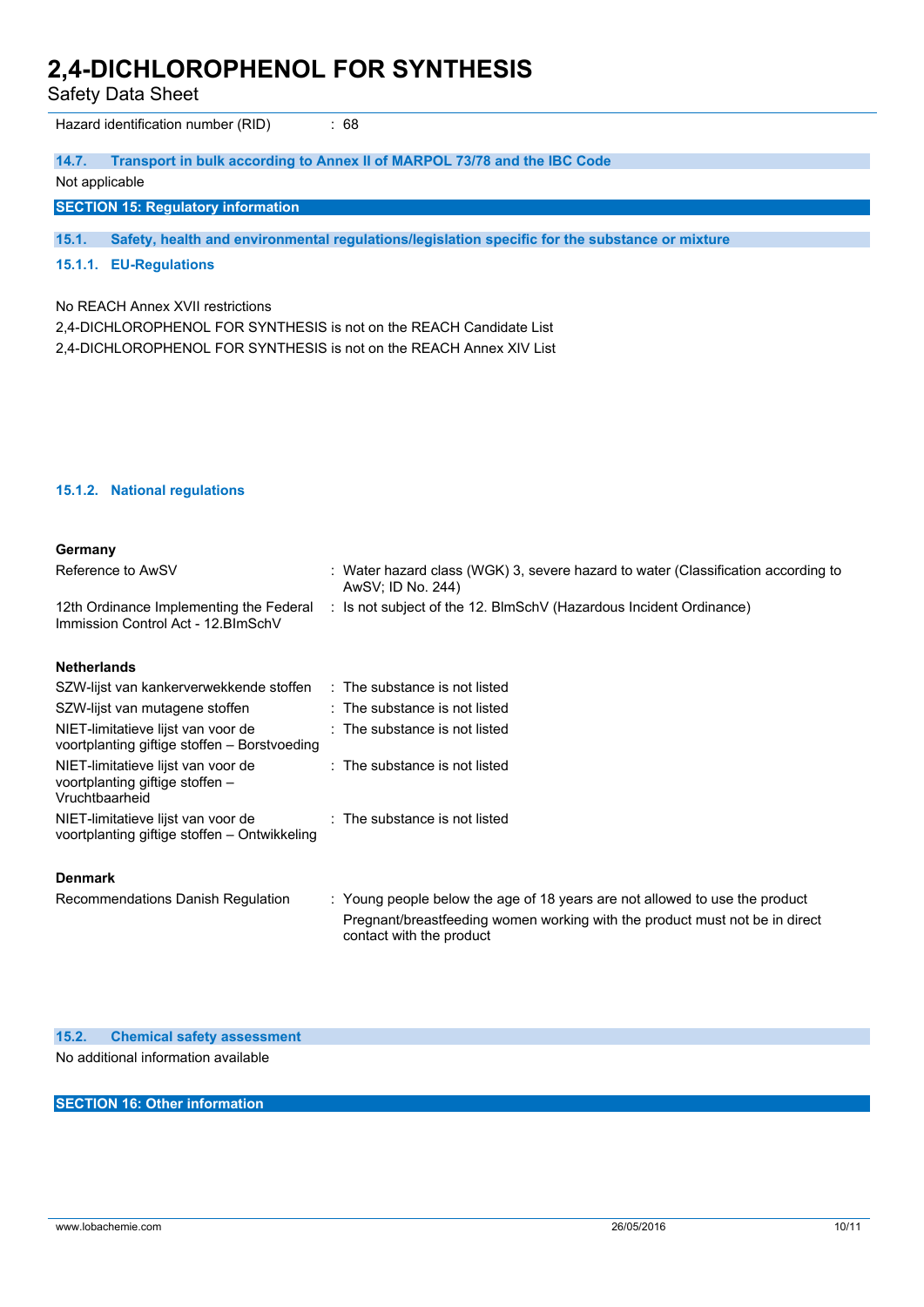Safety Data Sheet

Hazard identification number (RID) : 68

#### **14.7. Transport in bulk according to Annex II of MARPOL 73/78 and the IBC Code**

#### Not applicable

**SECTION 15: Regulatory information**

**15.1. Safety, health and environmental regulations/legislation specific for the substance or mixture**

#### **15.1.1. EU-Regulations**

No REACH Annex XVII restrictions

2,4-DICHLOROPHENOL FOR SYNTHESIS is not on the REACH Candidate List 2,4-DICHLOROPHENOL FOR SYNTHESIS is not on the REACH Annex XIV List

#### **15.1.2. National regulations**

#### **Germany**

| Reference to AwSV                                                              | : Water hazard class (WGK) 3, severe hazard to water (Classification according to<br>AwSV: ID No. 244) |
|--------------------------------------------------------------------------------|--------------------------------------------------------------------------------------------------------|
| 12th Ordinance Implementing the Federal<br>Immission Control Act - 12. BlmSchV | : Is not subject of the 12. BlmSchV (Hazardous Incident Ordinance)                                     |

#### **Netherlands**

| SZW-lijst van kankerverwekkende stoffen                                                 | : The substance is not listed            |
|-----------------------------------------------------------------------------------------|------------------------------------------|
| SZW-lijst van mutagene stoffen                                                          | : The substance is not listed            |
| NIET-limitatieve lijst van voor de<br>voortplanting giftige stoffen - Borstvoeding      | $\therefore$ The substance is not listed |
| NIET-limitatieve lijst van voor de<br>voortplanting giftige stoffen -<br>Vruchtbaarheid | : The substance is not listed            |
| NIET-limitatieve lijst van voor de<br>voortplanting giftige stoffen - Ontwikkeling      | : The substance is not listed            |

#### **Denmark**

Recommendations Danish Regulation : Young people below the age of 18 years are not allowed to use the product Pregnant/breastfeeding women working with the product must not be in direct contact with the product

## **15.2. Chemical safety assessment**

No additional information available

### **SECTION 16: Other information**